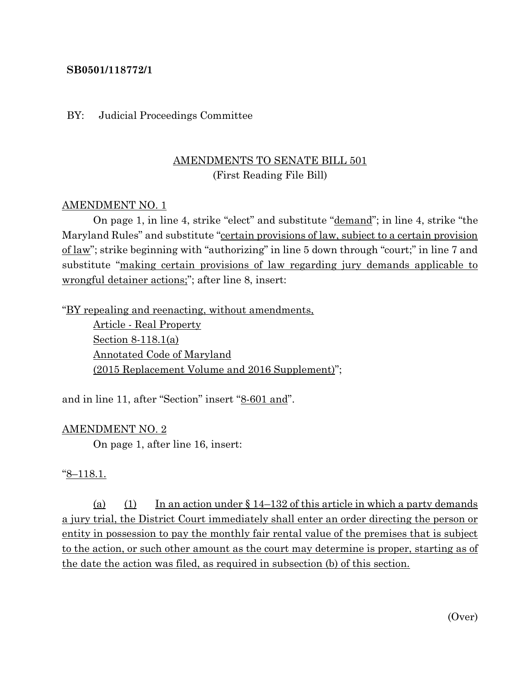### **SB0501/118772/1**

#### BY: Judicial Proceedings Committee

# AMENDMENTS TO SENATE BILL 501 (First Reading File Bill)

### AMENDMENT NO. 1

On page 1, in line 4, strike "elect" and substitute "demand"; in line 4, strike "the Maryland Rules" and substitute "certain provisions of law, subject to a certain provision of law"; strike beginning with "authorizing" in line 5 down through "court;" in line 7 and substitute "making certain provisions of law regarding jury demands applicable to wrongful detainer actions;"; after line 8, insert:

"BY repealing and reenacting, without amendments,

Article - Real Property Section 8-118.1(a) Annotated Code of Maryland (2015 Replacement Volume and 2016 Supplement)";

and in line 11, after "Section" insert "8-601 and".

#### AMENDMENT NO. 2

On page 1, after line 16, insert:

#### "8–118.1.

(a) (1) In an action under  $\S 14-132$  of this article in which a party demands a jury trial, the District Court immediately shall enter an order directing the person or entity in possession to pay the monthly fair rental value of the premises that is subject to the action, or such other amount as the court may determine is proper, starting as of the date the action was filed, as required in subsection (b) of this section.

(Over)